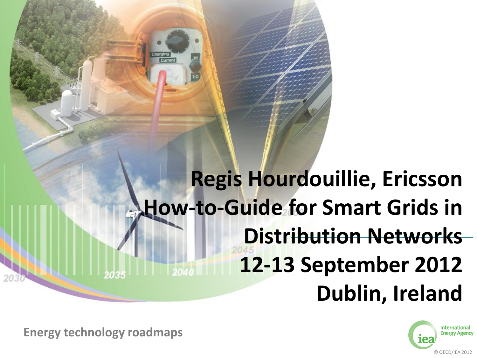## **Regis Hourdouillie, Ericsson How-to-Guide for Smart Grids in Distribution Networks 12-13 September 2012 Dublin, Ireland**



**Energy technology roadmaps Energy technology roadmaps**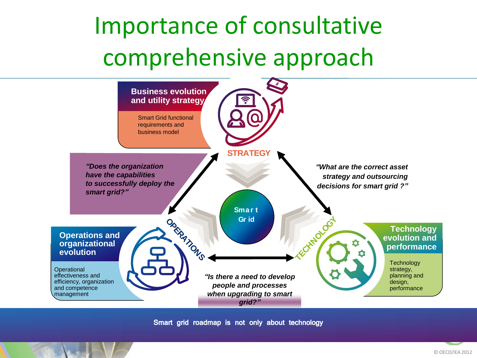## Importance of consultative comprehensive approach



Smart grid roadmap is not only about technology

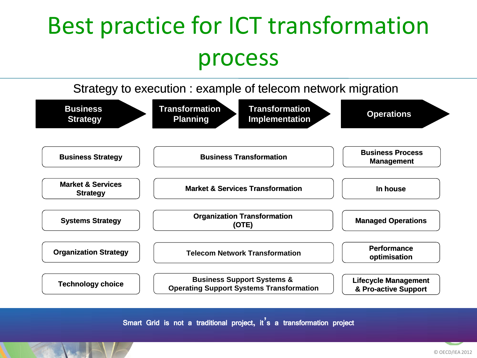## Best practice for ICT transformation process

Strategy to execution : example of telecom network migration



Smart Grid is not a traditional project, it**'**s a transformation project